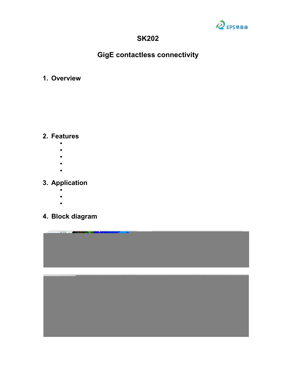

### **SK202**

# **GigE contactless connectivity**

#### **1. Overview**

SK202 is a pair of RF modules with H&V horn antenna and G-PHY to achieve 1Gbps data rate Ethernet to 60GHz millimeter Wave RF signal conversion. The input of SK202 is an RJ45 Gigabit Ethernet Connector supporting 10/100/1000Base-T. SK202 modules are based on leading edge ST60A2 mmW RF transceiver and the output consist in an RF transmission of the corresponding SGMII signal over several centimeter.

#### **2. Features**

- 60GHz V-Band transceiver with ST60A2
- Gigabit Ethernet short range contactless connectivity, preferred 3cm
- Full duplex, horizontal transmission, Controlled Auto negotiation
- RJ45 MDI interface Ethernet input
- Used in pairs

### **3. Application**

- LED panels for modular display walls
- Video surveillance camera and robotics
- Contactless Ethernet applications

## **4. Block diagram**

Board outlook: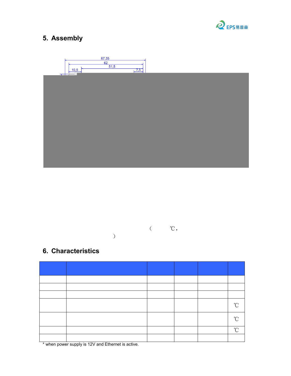

# **5. Assembly**

PCB installation:



Unit: mm

Note:

- (1) If a metal cover is used, a window should be added for microwave signal. Plastic or other microwave insensitive materials can be used to fill the window.(2) The DC socket and the USB MICRO-B socket areconnected together. The USB
- MICRO-B socket is only used to supply the power. Please do not connect them both at the same time.
- (3) It is recommended that the installation distance  $(A')$  is at least 1 cm, the typical value is 2 cm, and the maximum is 5 cm  $(-40~50^{\circ}\text{C})$ . High temperature will affect the max working distance).

# **6. Characteristics**

Recommended operating conditions and electrical characteristics

| <b>Symbol</b> | Description                                           | Minimu<br>m    | Typical | Maximum                  | Unit                 |
|---------------|-------------------------------------------------------|----------------|---------|--------------------------|----------------------|
| $V_{IN}$      | Power supply                                          | 4.4            | 12      | 16                       | V                    |
| $C_{IN}$      | Input current( $*)$                                   |                | 50      | 80                       | mA                   |
| P             | <b>Total Power consumption</b>                        |                | 0.6     | $\overline{\phantom{0}}$ | W                    |
| $T_A$         | <b>Ambient Operating</b><br>Temperature, for SK202A/B | $\overline{0}$ |         | 70                       | $\rm ^{\circ}C$      |
| $T_J$         | <b>Maximum Junction</b><br>Temperature                |                |         | 125                      | $\mathrm{C}^{\circ}$ |
| <b>TSTG</b>   | <b>Storage Temperature</b>                            | $-40$          |         | 105                      | $\int_0^\infty$      |
| Fosc          | <b>Carrier Frequency</b>                              | 60.3           | 60.4    | 60.5                     | GHz                  |

\* when power supply is 12V and Ethernet is active.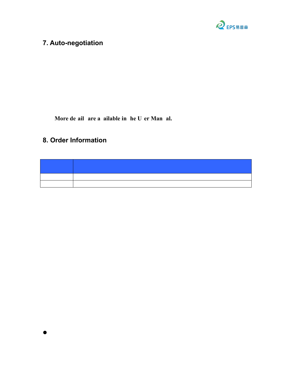

#### **7. Auto-negotiation**

The Ethernet PHY supports 1Gbps, 100Mbps and 10Mbps speeds. In order for two Ethernet modules to communicate correctly, care must be taken that the PHY on both modules negotiate the same speed. The auto-negotiation is always enabled on the Realtek PHY. It takes place independently between a module and the device connected on its RJ45 port. It is the responsibility of the application to ensure the auto-negotiation result is the same for both Ethernet modules.

For example, if one module is connected to a 100Mbps modem, the PC connected on the other module should be configured to guarantee the auto-negotiation result is also 100Mbps.

**More de ail are a ailable in he U er Man al.**

## **8. Order Information**

| Part                       | Description                                            |
|----------------------------|--------------------------------------------------------|
| number                     |                                                        |
| $\overline{\text{SK202A}}$ | GigE contactless module with Realtek RTL8211FS, Port A |
| <b>SK202B</b>              | GigE contactless module with Realtek RTL8211FS, Port B |

NOTE:

Port A: with vertical polarized horn antenna for transmitting and horizontal polarized horn antenna for receiving.

Port B: with horizontal polarized horn antenna for transmitting and vertical polarized horn antenna for receiving.

FCC Part 15:

This equipment has been tested and found to comply with the limits for a Class B digital device, pursuant to Part15 of the FCC Rules.

These limits are designed to provide reasonable protection against harmful interference in a residential installation. This equipment generate, uses and can radiate radio frequency energy and, if not installed and used in accordance with the instructions, may cause harmful interference to radio communications.

However, there is no guarantee that interference will not occur in a particular installation. If this equipment does cause harmful interference to radio or television reception, which can be determined by turning the equipment off and on, the user is encouraged to try to correct the interference by one of the following measures:

• Reorient or relocate the receiving antenna.